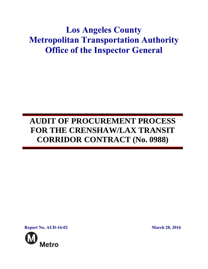# **Los Angeles County Metropolitan Transportation Authority Office of the Inspector General**

## **AUDIT OF PROCUREMENT PROCESS FOR THE CRENSHAW/LAX TRANSIT CORRIDOR CONTRACT (No. 0988)**

**Report No. AUD-16-02 March 28, 2016**

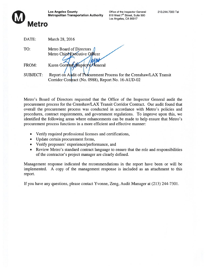

Los Angeles County **Contract County** Office of the Inspector General 213.244.7300 Tel Metropolitan Transportation Authority 818 West 7<sup>th</sup> Street, Suite 500

Los Angeles, CA 90017

| DATE:           | March 28, 2016                                                      |
|-----------------|---------------------------------------------------------------------|
| TO:             | Metro Board of Directors /<br>Metro Chief Executive Officer         |
| FROM:           | Karen Gorman Mispector General                                      |
| <b>SUBJECT:</b> | Report on Audit of Procurement Process for the Crenshaw/LAX Transit |

Metro's Board of Directors requested that the Office of the Inspector General audit the procuremen<sup>t</sup> process for the Crenshaw/LAX Transit Corridor Contract. Our audit found that overall the procuremen<sup>t</sup> process was conducted in accordance with Metro's policies and procedures, contract requirements, and governmen<sup>t</sup> regulations. To improve upon this, we identified the following areas where enhancements can be made to help ensure that Metro's procuremen<sup>t</sup> process functions in <sup>a</sup> more efficient and effective manner:

Corridor Contract (No. 0988), Report No. 16-AUD-02

- Verify required professional licenses and certifications,
- Update certain procurement forms,
- Verify proposers' experience/performance, and
- Review Metro's standard contract language to ensure that the role and responsibilities of the contractor's project manager are clearly defined.

Management response indicated the recommendations in the repor<sup>t</sup> have been or will be implemented. A copy of the managemen<sup>t</sup> response is included as an attachment to this report.

If you have any questions, please contact Yvonne, Zeng, Audit Manager at (213) 244-7301.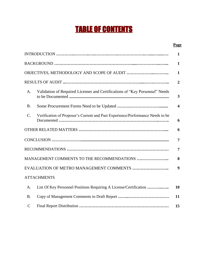# TABLE OF CONTENTS

### **Page**

|               |                                                                                | $\mathbf{1}$            |
|---------------|--------------------------------------------------------------------------------|-------------------------|
|               |                                                                                | $\mathbf{1}$            |
|               |                                                                                | $\mathbf{1}$            |
|               |                                                                                | $\overline{2}$          |
| A.            | Validation of Required Licenses and Certifications of "Key Personnel" Needs    | $\overline{\mathbf{3}}$ |
| <b>B.</b>     |                                                                                | $\overline{\mathbf{4}}$ |
| C.            | Verification of Proposer's Current and Past Experience/Performance Needs to be | 6                       |
|               |                                                                                | 6                       |
|               |                                                                                | 7                       |
|               |                                                                                | 7                       |
|               | MANAGEMENT COMMENTS TO THE RECOMMENDATIONS                                     | 8                       |
|               | EVALUATION OF METRO MANAGEMENT COMMENTS                                        | 9                       |
|               | <b>ATTACHMENTS</b>                                                             |                         |
| A.            | List Of Key Personnel Positions Requiring A License/Certification              | 10                      |
| <b>B.</b>     |                                                                                | 11                      |
| $\mathcal{C}$ |                                                                                | 15                      |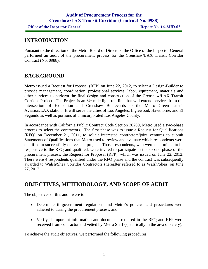### **Audit of Procurement Process for the Crenshaw/LAX Transit Corridor (Contract No. 0988) Office of the Inspector General <b>Report No. 16-AUD-02**

### **INTRODUCTION**

Pursuant to the direction of the Metro Board of Directors, the Office of the Inspector General performed an audit of the procurement process for the Crenshaw/LAX Transit Corridor Contract (No. 0988).

### **BACKGROUND**

Metro issued a Request for Proposal (RFP) on June 22, 2012, to select a Design-Builder to provide management, coordination, professional services, labor, equipment, materials and other services to perform the final design and construction of the Crenshaw/LAX Transit Corridor Project. The Project is an 8½ mile light rail line that will extend services from the intersection of Exposition and Crenshaw Boulevards to the Metro Green Line's Aviation/LAX station. It will serve the cities of Los Angeles, Inglewood, Hawthorne, and El Segundo as well as portions of unincorporated Los Angeles County.

In accordance with California Public Contract Code Section 20209, Metro used a two-phase process to select the contractors. The first phase was to issue a Request for Qualifications (RFQ) on December 21, 2011, to solicit interested contractors/joint ventures to submit Statements of Qualifications that Metro used to review and evaluate which respondents were qualified to successfully deliver the project. Those respondents, who were determined to be responsive to the RFQ and qualified, were invited to participate in the second phase of the procurement process, the Request for Proposal (RFP), which was issued on June 22, 2012. There were 4 respondents qualified under the RFQ phase and the contract was subsequently awarded to Walsh/Shea Corridor Contractors (hereafter referred to as Walsh/Shea) on June 27, 2013.

### **OBJECTIVES, METHODOLOGY, AND SCOPE OF AUDIT**

The objectives of this audit were to:

- Determine if government regulations and Metro's policies and procedures were adhered to during the procurement process, and
- Verify if important information and documents required in the RFQ and RFP were received from contractor and vetted by Metro Staff (specifically in the area of safety).

To achieve the audit objectives, we performed the following procedures: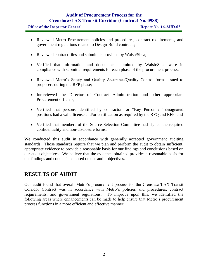|  |  | <b>Office of the Inspector General</b> |  |
|--|--|----------------------------------------|--|
|  |  |                                        |  |

- Reviewed Metro Procurement policies and procedures, contract requirements, and government regulations related to Design-Build contracts;
- Reviewed contract files and submittals provided by Walsh/Shea;
- Verified that information and documents submitted by Walsh/Shea were in compliance with submittal requirements for each phase of the procurement process;
- Reviewed Metro's Safety and Quality Assurance/Quality Control forms issued to proposers during the RFP phase;
- Interviewed the Director of Contract Administration and other appropriate Procurement officials;
- Verified that persons identified by contractor for "Key Personnel" designated positions had a valid license and/or certification as required by the RFQ and RFP; and
- Verified that members of the Source Selection Committee had signed the required confidentiality and non-disclosure forms.

We conducted this audit in accordance with generally accepted government auditing standards. Those standards require that we plan and perform the audit to obtain sufficient, appropriate evidence to provide a reasonable basis for our findings and conclusions based on our audit objectives. We believe that the evidence obtained provides a reasonable basis for our findings and conclusions based on our audit objectives.

### **RESULTS OF AUDIT**

Our audit found that overall Metro's procurement process for the Crenshaw/LAX Transit Corridor Contract was in accordance with Metro's policies and procedures, contract requirements, and government regulations. To improve upon this, we identified the following areas where enhancements can be made to help ensure that Metro's procurement process functions in a more efficient and effective manner: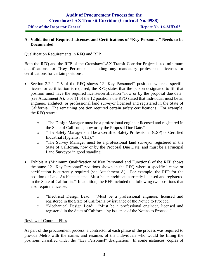### **A. Validation of Required Licenses and Certifications of "Key Personnel" Needs to be Documented**

#### Qualification Requirements in RFQ and RFP

Both the RFQ and the RFP of the Crenshaw/LAX Transit Corridor Project listed minimum qualifications for "Key Personnel" including any mandatory professional licenses or certifications for certain positions.

- Section 3.2.2, G.5 of the RFQ shows 12 "Key Personnel" positions where a specific license or certification is required; the RFQ states that the person designated to fill that position must have the required license/certification "now or by the proposal due date" (see Attachment A). For 11 of the 12 positions the RFQ stated that individual must be an engineer, architect, or professional land surveyor licensed and registered in the State of California. The remaining position required certain safety certifications. For example, the RFQ states:
	- o "The Design Manager must be a professional engineer licensed and registered in the State of California, now or by the Proposal Due Date."
	- o "The Safety Manager shall be a Certified Safety Professional (CSP) or Certified Industrial Hygienist (CIH)."
	- o "The Survey Manager must be a professional land surveyor registered in the State of California, now or by the Proposal Due Date, and must be a Principal Land Surveyor in good standing."
- Exhibit A (Minimum Qualification of Key Personnel and Functions) of the RFP shows the same 12 "Key Personnel" positions shown in the RFQ where a specific license or certification is currently required (see Attachment A). For example, the RFP for the position of Lead Architect states: "Must be an architect, currently licensed and registered in the State of California." In addition, the RFP included the following two positions that also require a license.
	- o "Electrical Design Lead: "Must be a professional engineer, licensed and registered in the State of California by issuance of the Notice to Proceed."
	- o "Mechanical Design Lead: "Must be a professional engineer, licensed and registered in the State of California by issuance of the Notice to Proceed."

### Review of Contract Files

As part of the procurement process, a contractor at each phase of the process was required to provide Metro with the names and resumes of the individuals who would be filling the positions classified under the "Key Personnel" designation. In some instances, copies of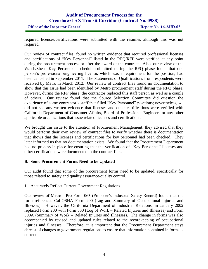#### **Office of the Inspector General <b>Report No. 16-AUD-02**

required licenses/certifications were submitted with the resumes although this was not required.

Our review of contract files, found no written evidence that required professional licenses and certifications of "Key Personnel" listed in the RFQ/RFP were verified at any point during the procurement process or after the award of the contract. Also, our review of the Walsh/Shea "Key Personnel" schedule submitted during the RFQ phase found that one person's professional engineering license, which was a requirement for the position, had been cancelled in September 2011. The Statements of Qualifications from respondents were received by Metro in March 2012. Our review of contract files found no documentation to show that this issue had been identified by Metro procurement staff during the RFQ phase. However, during the RFP phase, the contractor replaced this staff person as well as a couple of others. Our review found that the Source Selection Committee did question the experience of some contractor's staff that filled "Key Personnel" positions; nevertheless, we did not see any written evidence that licenses and other certifications were verified with California Department of Consumer Affairs, Board of Professional Engineers or any other applicable organizations that issue related licenses and certifications.

We brought this issue to the attention of Procurement Management; they advised that they would perform their own review of contract files to verify whether there is documentation that shows that the licenses and certifications for key personnel had been checked. They later informed us that no documentation exists. We found that the Procurement Department had no process in place for ensuring that the verification of "Key Personnel" licenses and other certifications were documented in the contract files.

### **B. Some Procurement Forms Need to be Updated**

Our audit found that some of the procurement forms need to be updated, specifically for those related to safety and quality assurance/quality control.

### 1. Accurately Reflect Current Government Regulations

Our review of Metro's Pro Form 063 (Proposer's Industrial Safety Record) found that the form references Cal-OSHA Form 200 (Log and Summary of Occupational Injuries and Illnesses). However, the California Department of Industrial Relations, in January 2002 replaced Form 200 with Form 300 (Log of Work – Related Injuries and Illnesses) and Form 300A (Summary of Work – Related Injuries and Illnesses). The change in forms was also accompanied by revised and updated rules related to the recordkeeping of occupational injuries and illnesses. Therefore, it is important that the Procurement Department stays abreast of changes to government regulations to ensure that information contained in forms is current.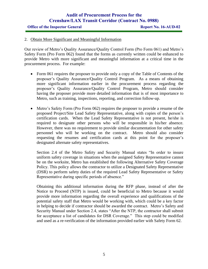#### **Office of the Inspector General <b>Report No. 16-AUD-02**

#### 2. Obtain More Significant and Meaningful Information

Our review of Metro's Quality Assurance/Quality Control Form (Pro Form 061) and Metro's Safety Form (Pro Form 062) found that the forms as currently written could be enhanced to provide Metro with more significant and meaningful information at a critical time in the procurement process. For example:

- Form 061 requires the proposer to provide only a copy of the Table of Contents of the proposer's Quality Assurance/Quality Control Program. As a means of obtaining more significant information earlier in the procurement process regarding the proposer's Quality Assurance/Quality Control Program, Metro should consider having the proposer provide more detailed information that is of most importance to Metro, such as training, inspections, reporting, and correction follow-up.
- Metro's Safety Form (Pro Form 062) requires the proposer to provide a resume of the proposed Project/Site Lead Safety Representative, along with copies of the person's certification cards. When the Lead Safety Representative is not present, he/she is required to designate other persons who will be responsible in his/her absence. However, there was no requirement to provide similar documentation for other safety personnel who will be working on the contract. Metro should also consider requesting the resumes and certification cards at this point for the proposer's designated alternate safety representatives.

Section 2.4 of the Metro Safety and Security Manual states "In order to insure uniform safety coverage in situations when the assigned Safety Representative cannot be on the worksite, Metro has established the following Alternative Safety Coverage Policy. This policy allows the contractor to utilize a Designated Safety Representative (DSR) to perform safety duties of the required Lead Safety Representative or Safety Representative during specific periods of absence."

Obtaining this additional information during the RFP phase, instead of after the Notice to Proceed (NTP) is issued, could be beneficial to Metro because it would provide more information regarding the overall experience and qualifications of the potential safety staff that Metro would be working with, which could be a key factor in helping to decide if contractor should be awarded the contract. Metro's Safety and Security Manual under Section 2.4, states "After the NTP, the contractor shall submit for acceptance a list of candidates for DSR Coverage." This step could be modified and used as a re-verification of the information provided earlier with Safety Form 62.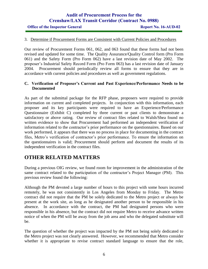#### **Office of the Inspector General <b>Report No. 16-AUD-02**

### 3. Determine if Procurement Forms are Consistent with Current Policies and Procedures

Our review of Procurement Forms 061, 062, and 063 found that these forms had not been revised and updated for some time. The Quality Assurance/Quality Control form (Pro Form 061) and the Safety Form (Pro Form 062) have a last revision date of May 2002. The proposer's Industrial Safety Record Form (Pro Form 063) has a last revision date of January 2004. Procurement should periodically review all forms to ensure that they are in accordance with current policies and procedures as well as government regulations.

#### **C. Verification of Proposer's Current and Past Experience/Performance Needs to be Documented**

As part of the submittal package for the RFP phase, proposers were required to provide information on current and completed projects. In conjunction with this information, each proposer and its key participants were required to have an Experience/Performance Questionnaire (Exhibit C) completed by three current or past clients to demonstrate a satisfactory or above rating. Our review of contract files related to Walsh/Shea found no written evidence to show that Procurement had performed an independent verification of information related to the contractor's prior performance on the questionnaires. Based on our work performed, it appears that there was no process in place for documenting in the contract files, Metro's verification of contractor's prior performance. To ensure the information on the questionnaires is valid; Procurement should perform and document the results of its independent verification in the contract files.

### **OTHER RELATED MATTERS**

During a previous OIG review, we found room for improvement in the administration of the same contract related to the participation of the contractor's Project Manager (PM). This previous review found the following:

Although the PM devoted a large number of hours to this project with some hours incurred remotely, he was not consistently in Los Angeles from Monday to Friday. The Metro contract did not require that the PM be solely dedicated to the Metro project or always be present at the work site, as long as he designated another person to be responsible in his absence. In accordance with the contract, the PM had designated persons who were responsible in his absence, but the contract did not require Metro to receive advance written notice of when the PM will be away from the job area and who the delegated substitute will be.

The question of whether the project was impacted by the PM not being solely dedicated to the Metro project was not clearly answered. However, we recommended that Metro consider whether it is appropriate to revise contract standard language to ensure that the role,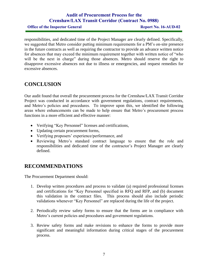**Office of the Inspector General <b>Report No. 16-AUD-02** 

responsibilities, and dedicated time of the Project Manager are clearly defined. Specifically, we suggested that Metro consider putting minimum requirements for a PM's on-site presence in the future contracts as well as requiring the contractor to provide an advance written notice for absences that may exceed the minimum requirement together with written notice of "who will be the next in charge" during those absences. Metro should reserve the right to disapprove excessive absences not due to illness or emergencies, and request remedies for excessive absences.

### **CONCLUSION**

Our audit found that overall the procurement process for the Crenshaw/LAX Transit Corridor Project was conducted in accordance with government regulations, contract requirements, and Metro's policies and procedures. To improve upon this, we identified the following areas where enhancements can be made to help ensure that Metro's procurement process functions in a more efficient and effective manner:

- Verifying "Key Personnel" licenses and certifications,
- Updating certain procurement forms,
- Verifying proposers' experience/performance, and
- Reviewing Metro's standard contract language to ensure that the role and responsibilities and dedicated time of the contractor's Project Manager are clearly defined.

### **RECOMMENDATIONS**

The Procurement Department should:

- 1. Develop written procedures and process to validate (a) required professional licenses and certifications for "Key Personnel specified in RFQ and RFP, and (b) document this validation in the contract files. This process should also include periodic validations whenever "Key Personnel" are replaced during the life of the project.
- 2. Periodically review safety forms to ensure that the forms are in compliance with Metro's current policies and procedures and government regulations.
- 3. Review safety forms and make revisions to enhance the forms to provide more significant and meaningful information during critical stages of the procurement process.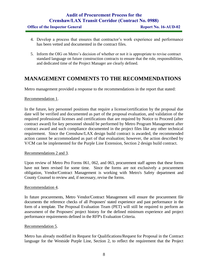| <b>Office of the Inspector General</b> |  |  |  |
|----------------------------------------|--|--|--|
|----------------------------------------|--|--|--|

- 4. Develop a process that ensures that contractor's work experience and performance has been vetted and documented in the contract files.
- 5. Inform the OIG on Metro's decision of whether or not it is appropriate to revise contract standard language on future construction contracts to ensure that the role, responsibilities, and dedicated time of the Project Manager are clearly defined.

### **MANAGEMENT COMMENTS TO THE RECOMMENDATIONS**

Metro management provided a response to the recommendations in the report that stated:

### Recommendation 1.

In the future, key personnel positions that require a license/certification by the proposal due date will be verified and documented as part of the proposal evaluation, and validation of the required professional licenses and certifications that are required by Notice to Proceed (after contract award) for key personnel should be performed by Metro Program Management after contract award and such compliance documented in the project files like any other technical requirement. Since the Crenshaw/LAX design build contract is awarded, the recommended action cannot be accommodated as part of that evaluation; however, the action described by V/CM can be implemented for the Purple Line Extension, Section 2 design build contract.

### Recommendations 2 and 3.

Upon review of Metro Pro Forms 061, 062, and 063, procurement staff agrees that these forms have not been revised for some time. Since the forms are not exclusively a procurement obligation, Vendor/Contract Management is working with Metro's Safety department and County Counsel to review and, if necessary, revise the forms.

### Recommendation 4.

In future procurements, Metro Vendor/Contract Management will ensure the procurement file documents the reference checks of all Proposers' stated experience and past performance in the form of a template. The Proposal Evaluation Team (PET) will still be required to perform an assessment of the Proposers' project history for the defined minimum experience and project performance requirements defined in the RFP's Evaluation Criteria.

### Recommendation 5.

Metro has already modified its Request for Qualifications/Request for Proposal in the Contract language for the Westside Purple Line, Section 2, to reflect the requirement that the Project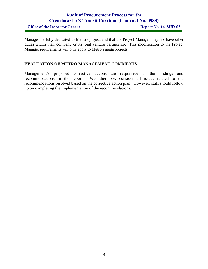**Office of the Inspector General <b>Report No. 16-AUD-02** 

Manager be fully dedicated to Metro's project and that the Project Manager may not have other duties within their company or its joint venture partnership. This modification to the Project Manager requirements will only apply to Metro's mega projects.

### **EVALUATION OF METRO MANAGEMENT COMMENTS**

Management's proposed corrective actions are responsive to the findings and recommendations in the report. We, therefore, consider all issues related to the recommendations resolved based on the corrective action plan. However, staff should follow up on completing the implementation of the recommendations.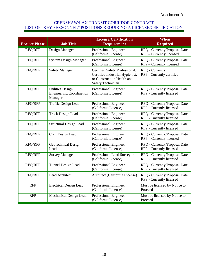### CRENSHAW/LAX TRANSIT CORRIDOR CONTRACT LIST OF "KEY PERSONNEL" POSITIONS REQUIRING A LICENSE/CERTIFICATION

| <b>Project Phase</b> | <b>Job Title</b>                                               | <b>License/Certification</b><br><b>Requirement</b>                                                                          | When<br><b>Required</b>                                   |
|----------------------|----------------------------------------------------------------|-----------------------------------------------------------------------------------------------------------------------------|-----------------------------------------------------------|
| RFQ/RFP              | Design Manager                                                 | Professional Engineer<br>(California License)                                                                               | RFQ - Currently/Proposal Date<br>RFP - Currently licensed |
| RFQ/RFP              | <b>System Design Manager</b>                                   | Professional Engineer<br>(California License)                                                                               | RFQ - Currently/Proposal Date<br>RFP - Currently licensed |
| RFQ/RFP              | <b>Safety Manager</b>                                          | Certified Safety Professional,<br>Certified Industrial Hygienist,<br>or Construction Health and<br><b>Safety Technician</b> | RFQ - Currently<br>RFP - Currently certified              |
| RFQ/RFP              | <b>Utilities Design</b><br>Engineering/Coordination<br>Manager | Professional Engineer<br>(California License)                                                                               | RFQ - Currently/Proposal Date<br>RFP - Currently licensed |
| RFQ/RFP              | <b>Traffic Design Lead</b>                                     | Professional Engineer<br>(California License)                                                                               | RFQ - Currently/Proposal Date<br>RFP - Currently licensed |
| RFQ/RFP              | <b>Track Design Lead</b>                                       | Professional Engineer<br>(California License)                                                                               | RFQ - Currently/Proposal Date<br>RFP - Currently licensed |
| RFQ/RFP              | <b>Structural Design Lead</b>                                  | Professional Engineer<br>(California License)                                                                               | RFQ - Currently/Proposal Date<br>RFP - Currently licensed |
| RFQ/RFP              | Civil Design Lead                                              | Professional Engineer<br>(California License)                                                                               | RFQ - Currently/Proposal Date<br>RFP - Currently licensed |
| RFQ/RFP              | Geotechnical Design<br>Lead                                    | Professional Engineer<br>(California License)                                                                               | RFQ - Currently/Proposal Date<br>RFP - Currently licensed |
| RFQ/RFP              | <b>Survey Manager</b>                                          | Professional Land Surveyor<br>(California License)                                                                          | RFQ - Currently/Proposal Date<br>RFP - Currently licensed |
| RFQ/RFP              | Tunnel Design Lead                                             | Professional Engineer<br>(California License)                                                                               | RFQ - Currently/Proposal Date<br>RFP - Currently licensed |
| RFQ/RFP              | Lead Architect                                                 | Architect (California License)                                                                                              | RFQ - Currently/Proposal Date<br>RFP - Currently licensed |
| <b>RFP</b>           | <b>Electrical Design Lead</b>                                  | Professional Engineer<br>(California License)                                                                               | Must be licensed by Notice to<br>Proceed                  |
| <b>RFP</b>           | Mechanical Design Lead                                         | Professional Engineer<br>(California License)                                                                               | Must be licensed by Notice to<br>Proceed                  |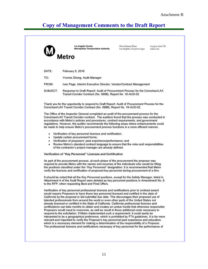|          | <b>Los Angeles County</b><br><b>Metropolitan Transportation Authority</b>                                                                                                                                                                                                                                                                                                                                                                                                                                                                                                                                                                                                                                                                                                                                                                                                                                                                                                                                                                                                                                                                                                                        | One Gateway Plaza<br>Los Angeles, CA 90012-2952 | 213.922.2000 Tel<br>metro.net |
|----------|--------------------------------------------------------------------------------------------------------------------------------------------------------------------------------------------------------------------------------------------------------------------------------------------------------------------------------------------------------------------------------------------------------------------------------------------------------------------------------------------------------------------------------------------------------------------------------------------------------------------------------------------------------------------------------------------------------------------------------------------------------------------------------------------------------------------------------------------------------------------------------------------------------------------------------------------------------------------------------------------------------------------------------------------------------------------------------------------------------------------------------------------------------------------------------------------------|-------------------------------------------------|-------------------------------|
|          | Metro                                                                                                                                                                                                                                                                                                                                                                                                                                                                                                                                                                                                                                                                                                                                                                                                                                                                                                                                                                                                                                                                                                                                                                                            |                                                 |                               |
| DATE:    | February 5, 2016                                                                                                                                                                                                                                                                                                                                                                                                                                                                                                                                                                                                                                                                                                                                                                                                                                                                                                                                                                                                                                                                                                                                                                                 |                                                 |                               |
| TO:      | Yvonne Zheng, Audit Manager                                                                                                                                                                                                                                                                                                                                                                                                                                                                                                                                                                                                                                                                                                                                                                                                                                                                                                                                                                                                                                                                                                                                                                      |                                                 |                               |
| FROM:    | Ivan Page, Interim Executive Director, Vendor/Contract Management                                                                                                                                                                                                                                                                                                                                                                                                                                                                                                                                                                                                                                                                                                                                                                                                                                                                                                                                                                                                                                                                                                                                |                                                 |                               |
| SUBJECT: | Response to Draft Report: Audit of Procurement Process for the Crenshaw/LAX<br>Transit Corridor Contract (No. 0988), Report No. 16-AUD-02                                                                                                                                                                                                                                                                                                                                                                                                                                                                                                                                                                                                                                                                                                                                                                                                                                                                                                                                                                                                                                                        |                                                 |                               |
|          | Thank you for the opportunity to respond to Draft Report: Audit of Procurement Process for the<br>Crenshaw/LAX Transit Corridor Contract (No. 0988), Report No. 16-AUD-02.                                                                                                                                                                                                                                                                                                                                                                                                                                                                                                                                                                                                                                                                                                                                                                                                                                                                                                                                                                                                                       |                                                 |                               |
|          | The Office of the Inspector General completed an audit of the procurement process for the<br>Crenshaw/LAX Transit Corridor contract. The auditors found that the process was conducted in<br>accordance with Metro's policies and procedures, contract requirements, and government<br>regulations. However, the auditor recommends the following areas where enhancements could<br>be made to help ensure Metro's procurement process functions in a more efficient manner.                                                                                                                                                                                                                                                                                                                                                                                                                                                                                                                                                                                                                                                                                                                     |                                                 |                               |
| ٠        | Verification of key personnel licenses and certification;                                                                                                                                                                                                                                                                                                                                                                                                                                                                                                                                                                                                                                                                                                                                                                                                                                                                                                                                                                                                                                                                                                                                        |                                                 |                               |
|          | · Update certain procurement forms;<br>• Verification of proposers' past experience/performance; and                                                                                                                                                                                                                                                                                                                                                                                                                                                                                                                                                                                                                                                                                                                                                                                                                                                                                                                                                                                                                                                                                             |                                                 |                               |
| ٠        | Review Metro's standard contract language to ensure that the roles and responsibilities<br>of the contractor's project manager are already defined.                                                                                                                                                                                                                                                                                                                                                                                                                                                                                                                                                                                                                                                                                                                                                                                                                                                                                                                                                                                                                                              |                                                 |                               |
|          | Verification of "Key Personnel" Licenses and Certification                                                                                                                                                                                                                                                                                                                                                                                                                                                                                                                                                                                                                                                                                                                                                                                                                                                                                                                                                                                                                                                                                                                                       |                                                 |                               |
|          | As part of the procurement process, at each phase of the procurement the proposer was<br>required to provide Metro with the names and resumes of the individuals who would be filling<br>the positions classified under the "Key Personnel" designation. It is recommended that Metro<br>verify the licenses and certification of proposed key personnel during procurement of a firm.                                                                                                                                                                                                                                                                                                                                                                                                                                                                                                                                                                                                                                                                                                                                                                                                           |                                                 |                               |
|          | It should be noted that all the Key Personnel positions, except for the Safety Manager, listed in<br>Attachment A of the Audit Report were deleted as key personnel positions in Amendment No. 8<br>to the RFP, when requesting Best and Final Offers.                                                                                                                                                                                                                                                                                                                                                                                                                                                                                                                                                                                                                                                                                                                                                                                                                                                                                                                                           |                                                 |                               |
|          | Verification of key personnel professional licenses and certifications prior to contract award<br>would require Proposers to have those key personnel licensed and certified in the state of<br>California by the proposal or bid submittal due date. This discourages their proposed use of<br>talented professionals from around the world or even other parts of the United States not<br>already licensed or certified in the State of California. California professional licenses and<br>certifications can take months to obtain and creates an undue hurdle that otherwise responsible<br>Proposers would need to overcome, as well as result in those additional costs necessary to<br>respond to the solicitation. If Metro implemented such a requirement, it could easily be<br>interpreted to be a geographical preference, which is prohibited by FTA guidelines. It is far more<br>relevant and important to verify the Proposer's key personnel past experience and education,<br>which is a necessary element for making a determination of the responsibility of a Proposer.<br>The professional licenses and certifications necessary of key personnel for the performance of |                                                 |                               |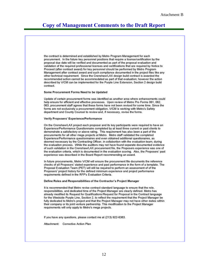the contract is determined and established by Metro Program Management for each procurement. In the future key personnel positions that require a license/certification by the proposal due date will be verified and documented as part of the proposal evaluation and validation of the required professional licenses and certifications that are required by Notice to Proceed (after contract award) for key personnel should be performed by Metro Program Management after contract award and such compliance documented in the project files like any other technical requirement. Since the Crenshaw/LAX design build contract is awarded the recommended action cannot be accommodated as part of that evaluation; however the action described by V/CM can be implemented for the Purple Line Extension, Section 2 design build contract.

#### Some Procurement Forms Need to be Updated

Update of certain procurement forms was identified as another area where enhancements could help ensure for efficient and effective processes. Upon review of Metro Pro Forms 061, 062, 063, procurement staff agrees that these forms have not been revised for some time. Since the forms are not exclusively a procurement obligation, V/CM is working with Metro's Safety department and County Counsel to review and, if necessary, revise the forms.

#### Verify Proposers' Experience/Performance

On the Crenshaw/LAX project each proposer and its key participants were required to have an Experience/Performance Questionnaire completed by at least three current or past clients to demonstrate a satisfactory or above rating. This requirement has also been a part of the procurements for all other mega projects at Metro. Metro staff validated the completed Experience/Performance questionnaires and even obtained additional questionaires, as deemed necessary by the Contracting Officer, in collabortion with the evaluation team, during the evaluaiton process. While the auditors may not have found separate documented evidence of such validation in the Crenshaw/LAX procurement file, the Proposers experience was one of the evaluation criteria, which is documented in the evaluation scoring. Also, the Proposers' past experience was described in the Board Report recommending an award.

In future procurements, Metro V/CM will ensure the procurement file documents the reference checks of all Proposers' stated experience and past performance in the form of a template. The Proposal Evaluation Team (PET) will still be required to perform an assessment of of the Proposers' project history for the defined minimum experience and project performance requirements defined in the RFP's Evaluation Criteria.

#### Define Roles and Responsibilities of the Contractor's Project Manager

It is recommended that Metro revise contract standard language to ensure that the role. responsibilities, and dedicated time of the Project Manager are clearly defined. Metro has already modified its Request for Qualifications/Request for Proposal in the Contract language for the Westside Purple Line, Section 2, to reflect the requirement that the Project Manager be fully dedicated to Metro's project and that the Project Manager may not have other duties within their company or its joint venture partnership. This modification to the Project Manager requirements will only apply to Metro's mega projects.

If you have any questions, please contact me at (213) 922-6383.

Attachment: Corrective Action Plan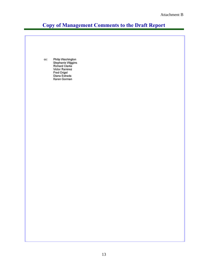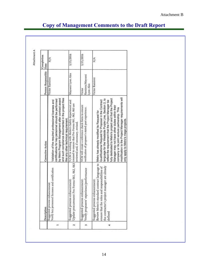| Description                                                                                                                                                                                                                            | Corrective Action                                                                                                                                                                                                                                                                                                                                                                                                                   | Person Responsible                    | Completion<br>Date |
|----------------------------------------------------------------------------------------------------------------------------------------------------------------------------------------------------------------------------------------|-------------------------------------------------------------------------------------------------------------------------------------------------------------------------------------------------------------------------------------------------------------------------------------------------------------------------------------------------------------------------------------------------------------------------------------|---------------------------------------|--------------------|
| Suggested process enhancement:<br>Verify key personnel licenses and certification                                                                                                                                                      | and such compliance documented in the project files<br>by Metro Program Management after contract award<br>certifications for key personnel should be performed<br>Validation of the required professional licenses and<br>like any other technical requirement.                                                                                                                                                                    | Victor Ramirez                        | $\frac{8}{2}$      |
| Suggested process enhancement:                                                                                                                                                                                                         | V/CM is working with Metro's Safety department and<br>Update procurement Pro Forms 061, 062, 063 counsel to ensure that Pro Forms 061, 062, 063 are<br>reviewed and, if necessary, revised                                                                                                                                                                                                                                          | Mayumi Lyon Ales                      | 3/15/2016          |
| Verify proposers' experience/performance<br>Suggested process enhancement:                                                                                                                                                             | VCM will create a reference check form to ensure<br>verification of proposer's stated past experience.                                                                                                                                                                                                                                                                                                                              | Ramirez/Mayumi<br>Lyon Ales<br>Victor | 3/15/2016          |
| Review Metro's standard contract language to  Metro has already modified its Request for<br>the contractor's project manager are already<br>ensure that the roles and responsibilities of<br>Suggested process enhancement:<br>defined | modification to the Project Manager requirements will<br>fully dedicated to Metro's project and that the Project<br>language for the Westside Purple Line, Section 2, to<br>Qualifications/ Request for Proposal in the Contract<br>reflect the requirement that the Project Manager be<br>Manager may not have other duties within their<br>company or its joint venture partnership. This<br>only apply to Metro's mega projects. | Victor Ramirez                        | N/A                |